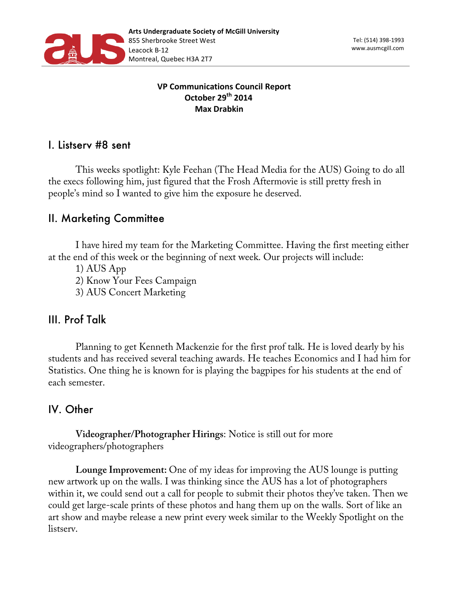

#### **VP Communications Council Report October 29th 2014 Max Drabkin**

#### I. Listserv #8 sent

This weeks spotlight: Kyle Feehan (The Head Media for the AUS) Going to do all the execs following him, just figured that the Frosh Aftermovie is still pretty fresh in people's mind so I wanted to give him the exposure he deserved.

### II. Marketing Committee

I have hired my team for the Marketing Committee. Having the first meeting either at the end of this week or the beginning of next week. Our projects will include:

1) AUS App

2) Know Your Fees Campaign

3) AUS Concert Marketing

### III. Prof Talk

Planning to get Kenneth Mackenzie for the first prof talk. He is loved dearly by his students and has received several teaching awards. He teaches Economics and I had him for Statistics. One thing he is known for is playing the bagpipes for his students at the end of each semester.

# IV. Other

**Videographer/Photographer Hirings**: Notice is still out for more videographers/photographers

**Lounge Improvement:** One of my ideas for improving the AUS lounge is putting new artwork up on the walls. I was thinking since the AUS has a lot of photographers within it, we could send out a call for people to submit their photos they've taken. Then we could get large-scale prints of these photos and hang them up on the walls. Sort of like an art show and maybe release a new print every week similar to the Weekly Spotlight on the listserv.